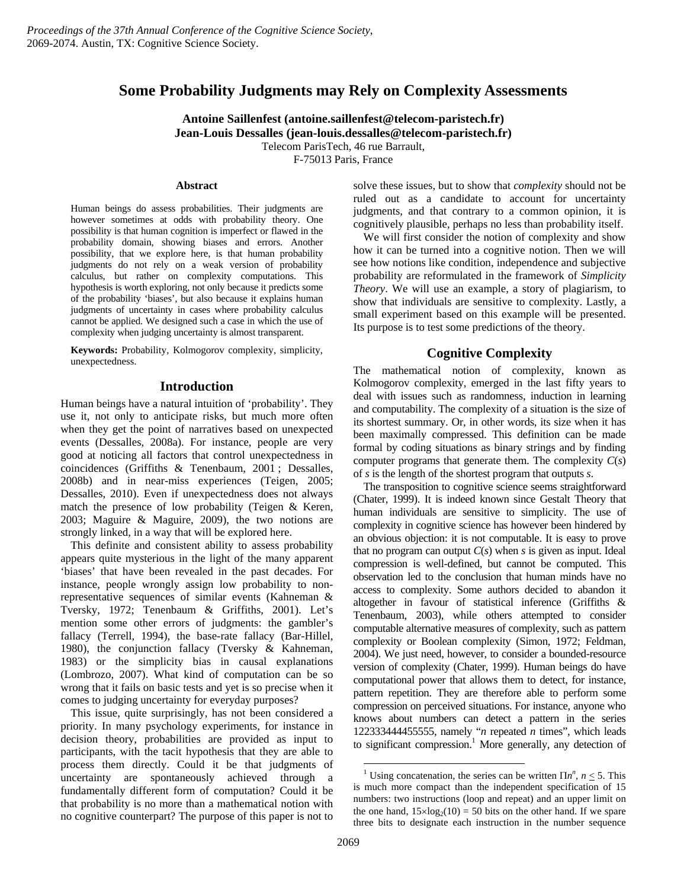# **Some Probability Judgments may Rely on Complexity Assessments**

**Antoine Saillenfest (antoine.saillenfest@telecom-paristech.fr) Jean-Louis Dessalles (jean-louis.dessalles@telecom-paristech.fr)**  Telecom ParisTech, 46 rue Barrault, F-75013 Paris, France

**Abstract** 

Human beings do assess probabilities. Their judgments are however sometimes at odds with probability theory. One possibility is that human cognition is imperfect or flawed in the probability domain, showing biases and errors. Another possibility, that we explore here, is that human probability judgments do not rely on a weak version of probability calculus, but rather on complexity computations. This hypothesis is worth exploring, not only because it predicts some of the probability 'biases', but also because it explains human judgments of uncertainty in cases where probability calculus cannot be applied. We designed such a case in which the use of complexity when judging uncertainty is almost transparent.

**Keywords:** Probability, Kolmogorov complexity, simplicity, unexpectedness.

## **Introduction**

Human beings have a natural intuition of 'probability'. They use it, not only to anticipate risks, but much more often when they get the point of narratives based on unexpected events (Dessalles, 2008a). For instance, people are very good at noticing all factors that control unexpectedness in coincidences (Griffiths & Tenenbaum, 2001 ; Dessalles, 2008b) and in near-miss experiences (Teigen, 2005; Dessalles, 2010). Even if unexpectedness does not always match the presence of low probability (Teigen & Keren, 2003; Maguire & Maguire, 2009), the two notions are strongly linked, in a way that will be explored here.

This definite and consistent ability to assess probability appears quite mysterious in the light of the many apparent 'biases' that have been revealed in the past decades. For instance, people wrongly assign low probability to nonrepresentative sequences of similar events (Kahneman & Tversky, 1972; Tenenbaum & Griffiths, 2001). Let's mention some other errors of judgments: the gambler's fallacy (Terrell, 1994), the base-rate fallacy (Bar-Hillel, 1980), the conjunction fallacy (Tversky & Kahneman, 1983) or the simplicity bias in causal explanations (Lombrozo, 2007). What kind of computation can be so wrong that it fails on basic tests and yet is so precise when it comes to judging uncertainty for everyday purposes?

This issue, quite surprisingly, has not been considered a priority. In many psychology experiments, for instance in decision theory, probabilities are provided as input to participants, with the tacit hypothesis that they are able to process them directly. Could it be that judgments of uncertainty are spontaneously achieved through a fundamentally different form of computation? Could it be that probability is no more than a mathematical notion with no cognitive counterpart? The purpose of this paper is not to

solve these issues, but to show that *complexity* should not be ruled out as a candidate to account for uncertainty judgments, and that contrary to a common opinion, it is cognitively plausible, perhaps no less than probability itself.

We will first consider the notion of complexity and show how it can be turned into a cognitive notion. Then we will see how notions like condition, independence and subjective probability are reformulated in the framework of *Simplicity Theory*. We will use an example, a story of plagiarism, to show that individuals are sensitive to complexity. Lastly, a small experiment based on this example will be presented. Its purpose is to test some predictions of the theory.

## **Cognitive Complexity**

The mathematical notion of complexity, known as Kolmogorov complexity, emerged in the last fifty years to deal with issues such as randomness, induction in learning and computability. The complexity of a situation is the size of its shortest summary. Or, in other words, its size when it has been maximally compressed. This definition can be made formal by coding situations as binary strings and by finding computer programs that generate them. The complexity *C*(*s*) of *s* is the length of the shortest program that outputs *s*.

The transposition to cognitive science seems straightforward (Chater, 1999). It is indeed known since Gestalt Theory that human individuals are sensitive to simplicity. The use of complexity in cognitive science has however been hindered by an obvious objection: it is not computable. It is easy to prove that no program can output *C*(*s*) when *s* is given as input. Ideal compression is well-defined, but cannot be computed. This observation led to the conclusion that human minds have no access to complexity. Some authors decided to abandon it altogether in favour of statistical inference (Griffiths & Tenenbaum, 2003), while others attempted to consider computable alternative measures of complexity, such as pattern complexity or Boolean complexity (Simon, 1972; Feldman, 2004). We just need, however, to consider a bounded-resource version of complexity (Chater, 1999). Human beings do have computational power that allows them to detect, for instance, pattern repetition. They are therefore able to perform some compression on perceived situations. For instance, anyone who knows about numbers can detect a pattern in the series 122333444455555, namely "*n* repeated *n* times", which leads to significant compression.<sup>1</sup> More generally, any detection of

<sup>&</sup>lt;sup>1</sup> Using concatenation, the series can be written  $\prod n^n$ ,  $n \le 5$ . This is much more compact than the independent specification of 15 numbers: two instructions (loop and repeat) and an upper limit on the one hand,  $15 \times log_2(10) = 50$  bits on the other hand. If we spare three bits to designate each instruction in the number sequence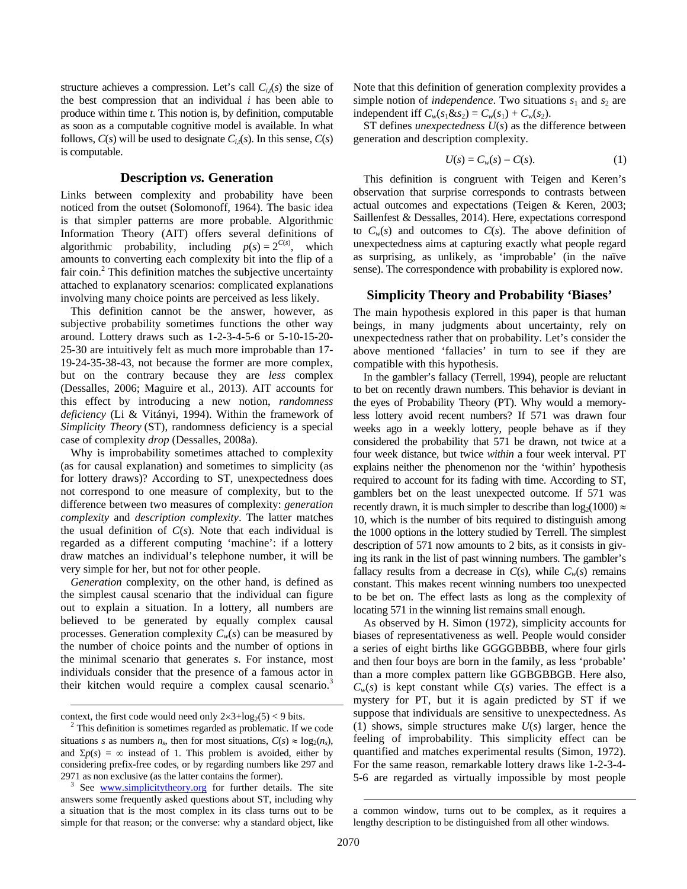structure achieves a compression. Let's call  $C_{i}(s)$  the size of the best compression that an individual *i* has been able to produce within time *t*. This notion is, by definition, computable as soon as a computable cognitive model is available. In what follows,  $C(s)$  will be used to designate  $C_{i,t}(s)$ . In this sense,  $C(s)$ is computable.

#### **Description** *vs.* **Generation**

Links between complexity and probability have been noticed from the outset (Solomonoff, 1964). The basic idea is that simpler patterns are more probable. Algorithmic Information Theory (AIT) offers several definitions of algorithmic probability, including  $p(s) = 2^{C(s)}$ , which amounts to converting each complexity bit into the flip of a fair coin.<sup>2</sup> This definition matches the subjective uncertainty attached to explanatory scenarios: complicated explanations involving many choice points are perceived as less likely.

This definition cannot be the answer, however, as subjective probability sometimes functions the other way around. Lottery draws such as 1-2-3-4-5-6 or 5-10-15-20- 25-30 are intuitively felt as much more improbable than 17- 19-24-35-38-43, not because the former are more complex, but on the contrary because they are *less* complex (Dessalles, 2006; Maguire et al., 2013). AIT accounts for this effect by introducing a new notion, *randomness deficiency* (Li & Vitányi, 1994). Within the framework of *Simplicity Theory* (ST), randomness deficiency is a special case of complexity *drop* (Dessalles, 2008a).

Why is improbability sometimes attached to complexity (as for causal explanation) and sometimes to simplicity (as for lottery draws)? According to ST, unexpectedness does not correspond to one measure of complexity, but to the difference between two measures of complexity: *generation complexity* and *description complexity*. The latter matches the usual definition of *C*(*s*). Note that each individual is regarded as a different computing 'machine': if a lottery draw matches an individual's telephone number, it will be very simple for her, but not for other people.

*Generation* complexity, on the other hand, is defined as the simplest causal scenario that the individual can figure out to explain a situation. In a lottery, all numbers are believed to be generated by equally complex causal processes. Generation complexity  $C_w(s)$  can be measured by the number of choice points and the number of options in the minimal scenario that generates *s*. For instance, most individuals consider that the presence of a famous actor in their kitchen would require a complex causal scenario.<sup>3</sup>

 $\overline{a}$ 

Note that this definition of generation complexity provides a simple notion of *independence*. Two situations  $s_1$  and  $s_2$  are independent iff  $C_w(s_1 \& s_2) = C_w(s_1) + C_w(s_2)$ .

ST defines *unexpectedness U*(*s*) as the difference between generation and description complexity.

$$
U(s) = C_w(s) - C(s). \tag{1}
$$

This definition is congruent with Teigen and Keren's observation that surprise corresponds to contrasts between actual outcomes and expectations (Teigen & Keren, 2003; Saillenfest & Dessalles, 2014). Here, expectations correspond to  $C_w(s)$  and outcomes to  $C(s)$ . The above definition of unexpectedness aims at capturing exactly what people regard as surprising, as unlikely, as 'improbable' (in the naïve sense). The correspondence with probability is explored now.

## **Simplicity Theory and Probability 'Biases'**

The main hypothesis explored in this paper is that human beings, in many judgments about uncertainty, rely on unexpectedness rather that on probability. Let's consider the above mentioned 'fallacies' in turn to see if they are compatible with this hypothesis.

In the gambler's fallacy (Terrell, 1994), people are reluctant to bet on recently drawn numbers. This behavior is deviant in the eyes of Probability Theory (PT). Why would a memoryless lottery avoid recent numbers? If 571 was drawn four weeks ago in a weekly lottery, people behave as if they considered the probability that 571 be drawn, not twice at a four week distance, but twice *within* a four week interval. PT explains neither the phenomenon nor the 'within' hypothesis required to account for its fading with time. According to ST, gamblers bet on the least unexpected outcome. If 571 was recently drawn, it is much simpler to describe than  $log_2(1000) \approx$ 10, which is the number of bits required to distinguish among the 1000 options in the lottery studied by Terrell. The simplest description of 571 now amounts to 2 bits, as it consists in giving its rank in the list of past winning numbers. The gambler's fallacy results from a decrease in  $C(s)$ , while  $C_w(s)$  remains constant. This makes recent winning numbers too unexpected to be bet on. The effect lasts as long as the complexity of locating 571 in the winning list remains small enough.

As observed by H. Simon (1972), simplicity accounts for biases of representativeness as well. People would consider a series of eight births like GGGGBBBB, where four girls and then four boys are born in the family, as less 'probable' than a more complex pattern like GGBGBBGB. Here also,  $C_w(s)$  is kept constant while  $C(s)$  varies. The effect is a mystery for PT, but it is again predicted by ST if we suppose that individuals are sensitive to unexpectedness. As (1) shows, simple structures make *U*(*s*) larger, hence the feeling of improbability. This simplicity effect can be quantified and matches experimental results (Simon, 1972). For the same reason, remarkable lottery draws like 1-2-3-4- 5-6 are regarded as virtually impossible by most people

context, the first code would need only  $2 \times 3 + \log_2(5) < 9$  bits.

 $2$  This definition is sometimes regarded as problematic. If we code situations *s* as numbers  $n_s$ , then for most situations,  $C(s) \approx \log_2(n_s)$ , and  $\Sigma p(s) = \infty$  instead of 1. This problem is avoided, either by considering prefix-free codes, or by regarding numbers like 297 and 2971 as non exclusive (as the latter contains the former). <sup>3</sup>

 $3$  See www.simplicitytheory.org for further details. The site answers some frequently asked questions about ST, including why a situation that is the most complex in its class turns out to be simple for that reason; or the converse: why a standard object, like

a common window, turns out to be complex, as it requires a lengthy description to be distinguished from all other windows.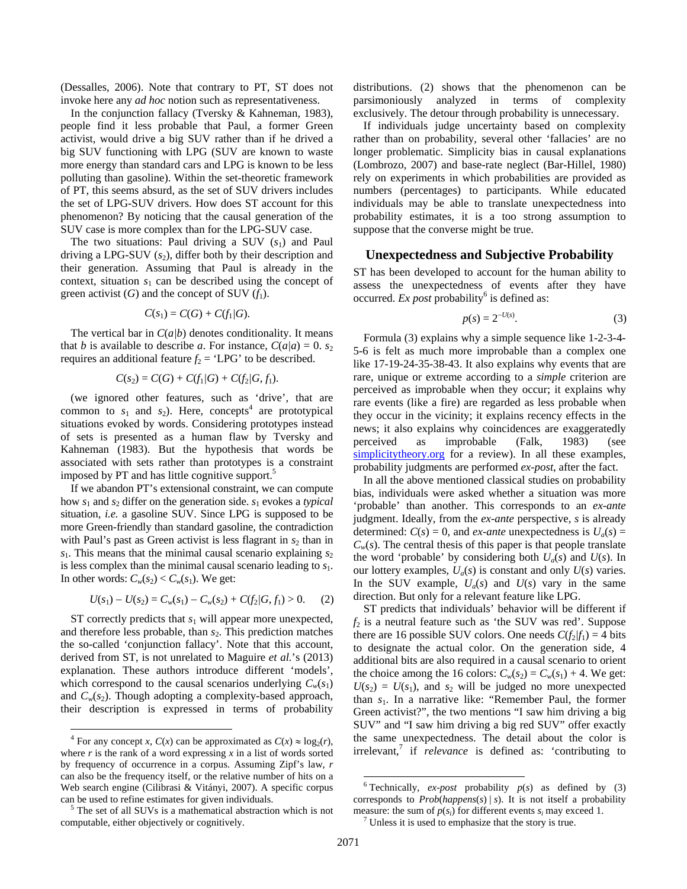(Dessalles, 2006). Note that contrary to PT, ST does not invoke here any *ad hoc* notion such as representativeness.

In the conjunction fallacy (Tversky & Kahneman, 1983), people find it less probable that Paul, a former Green activist, would drive a big SUV rather than if he drived a big SUV functioning with LPG (SUV are known to waste more energy than standard cars and LPG is known to be less polluting than gasoline). Within the set-theoretic framework of PT, this seems absurd, as the set of SUV drivers includes the set of LPG-SUV drivers. How does ST account for this phenomenon? By noticing that the causal generation of the SUV case is more complex than for the LPG-SUV case.

The two situations: Paul driving a SUV  $(s_1)$  and Paul driving a LPG-SUV  $(s_2)$ , differ both by their description and their generation. Assuming that Paul is already in the context, situation  $s_1$  can be described using the concept of green activist  $(G)$  and the concept of SUV  $(f_1)$ .

$$
C(s_1)=C(G)+C(f_1/G).
$$

The vertical bar in  $C(a/b)$  denotes conditionality. It means that *b* is available to describe *a*. For instance,  $C(a|a) = 0$ . *s*<sub>2</sub> requires an additional feature  $f_2$  = 'LPG' to be described.

$$
C(s_2) = C(G) + C(f_1/G) + C(f_2/G, f_1).
$$

(we ignored other features, such as 'drive', that are common to  $s_1$  and  $s_2$ ). Here, concepts<sup>4</sup> are prototypical situations evoked by words. Considering prototypes instead of sets is presented as a human flaw by Tversky and Kahneman (1983). But the hypothesis that words be associated with sets rather than prototypes is a constraint imposed by PT and has little cognitive support.<sup>5</sup>

If we abandon PT's extensional constraint, we can compute how  $s_1$  and  $s_2$  differ on the generation side.  $s_1$  evokes a *typical* situation, *i.e.* a gasoline SUV. Since LPG is supposed to be more Green-friendly than standard gasoline, the contradiction with Paul's past as Green activist is less flagrant in  $s<sub>2</sub>$  than in  $s<sub>1</sub>$ . This means that the minimal causal scenario explaining  $s<sub>2</sub>$ is less complex than the minimal causal scenario leading to *s*1. In other words:  $C_w(s_2) < C_w(s_1)$ . We get:

$$
U(s_1) - U(s_2) = C_w(s_1) - C_w(s_2) + C(f_2/G, f_1) > 0. \tag{2}
$$

ST correctly predicts that  $s_1$  will appear more unexpected, and therefore less probable, than  $s_2$ . This prediction matches the so-called 'conjunction fallacy'. Note that this account, derived from ST, is not unrelated to Maguire *et al.*'s (2013) explanation. These authors introduce different 'models', which correspond to the causal scenarios underlying  $C_w(s_1)$ and  $C_w(s_2)$ . Though adopting a complexity-based approach, their description is expressed in terms of probability

 $\overline{\phantom{a}}$ 

distributions. (2) shows that the phenomenon can be parsimoniously analyzed in terms of complexity exclusively. The detour through probability is unnecessary.

If individuals judge uncertainty based on complexity rather than on probability, several other 'fallacies' are no longer problematic. Simplicity bias in causal explanations (Lombrozo, 2007) and base-rate neglect (Bar-Hillel, 1980) rely on experiments in which probabilities are provided as numbers (percentages) to participants. While educated individuals may be able to translate unexpectedness into probability estimates, it is a too strong assumption to suppose that the converse might be true.

#### **Unexpectedness and Subjective Probability**

ST has been developed to account for the human ability to assess the unexpectedness of events after they have occurred. *Ex post* probability<sup>6</sup> is defined as:

$$
p(s) = 2^{-U(s)}.
$$
 (3)

Formula (3) explains why a simple sequence like 1-2-3-4- 5-6 is felt as much more improbable than a complex one like 17-19-24-35-38-43. It also explains why events that are rare, unique or extreme according to a *simple* criterion are perceived as improbable when they occur; it explains why rare events (like a fire) are regarded as less probable when they occur in the vicinity; it explains recency effects in the news; it also explains why coincidences are exaggeratedly perceived as improbable (Falk, 1983) (see simplicitytheory.org for a review). In all these examples, probability judgments are performed *ex-post*, after the fact.

In all the above mentioned classical studies on probability bias, individuals were asked whether a situation was more 'probable' than another. This corresponds to an *ex-ante* judgment. Ideally, from the *ex-ante* perspective, *s* is already determined:  $C(s) = 0$ , and *ex-ante* unexpectedness is  $U_a(s) =$  $C_w(s)$ . The central thesis of this paper is that people translate the word 'probable' by considering both  $U_a(s)$  and  $U(s)$ . In our lottery examples,  $U_a(s)$  is constant and only  $U(s)$  varies. In the SUV example,  $U_a(s)$  and  $U(s)$  vary in the same direction. But only for a relevant feature like LPG.

ST predicts that individuals' behavior will be different if  $f_2$  is a neutral feature such as 'the SUV was red'. Suppose there are 16 possible SUV colors. One needs  $C(f_2/f_1) = 4$  bits to designate the actual color. On the generation side, 4 additional bits are also required in a causal scenario to orient the choice among the 16 colors:  $C_w(s_2) = C_w(s_1) + 4$ . We get:  $U(s_2) = U(s_1)$ , and  $s_2$  will be judged no more unexpected than *s*1. In a narrative like: "Remember Paul, the former Green activist?", the two mentions "I saw him driving a big SUV" and "I saw him driving a big red SUV" offer exactly the same unexpectedness. The detail about the color is irrelevant,<sup>7</sup> if *relevance* is defined as: 'contributing to

<sup>&</sup>lt;sup>4</sup> For any concept *x*,  $C(x)$  can be approximated as  $C(x) \approx \log_2(r)$ , where  $r$  is the rank of a word expressing  $x$  in a list of words sorted by frequency of occurrence in a corpus. Assuming Zipf's law, *r*  can also be the frequency itself, or the relative number of hits on a Web search engine (Cilibrasi & Vitányi, 2007). A specific corpus can be used to refine estimates for given individuals.

 $5$  The set of all SUVs is a mathematical abstraction which is not computable, either objectively or cognitively.

<sup>&</sup>lt;sup>6</sup> Technically, *ex-post* probability  $p(s)$  as defined by (3) corresponds to  $Prob(happens(s) | s)$ . It is not itself a probability measure: the sum of  $p(s_i)$  for different events  $s_i$  may exceed 1.

 $\frac{7}{1}$  Unless it is used to emphasize that the story is true.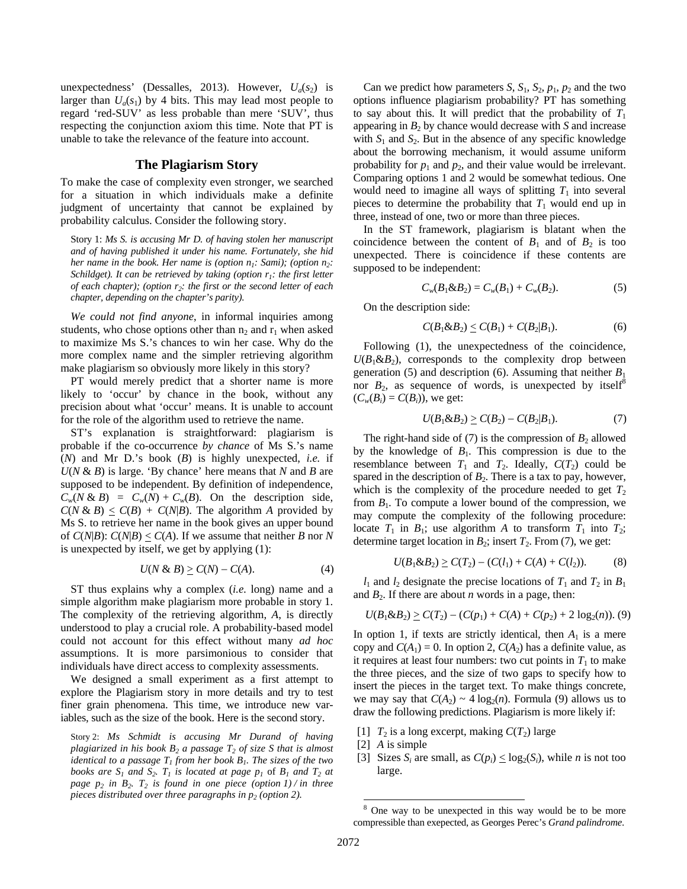unexpectedness' (Dessalles, 2013). However,  $U_a(s_2)$  is larger than  $U_a(s_1)$  by 4 bits. This may lead most people to regard 'red-SUV' as less probable than mere 'SUV', thus respecting the conjunction axiom this time. Note that PT is unable to take the relevance of the feature into account.

#### **The Plagiarism Story**

To make the case of complexity even stronger, we searched for a situation in which individuals make a definite judgment of uncertainty that cannot be explained by probability calculus. Consider the following story.

Story 1: *Ms S. is accusing Mr D. of having stolen her manuscript and of having published it under his name. Fortunately, she hid her name in the book. Her name is (option*  $n_1$ *: Sami); (option*  $n_2$ *: Schildget). It can be retrieved by taking (option*  $r_1$ *: the first letter of each chapter); (option r<sub>2</sub>: the first or the second letter of each chapter, depending on the chapter's parity).* 

*We could not find anyone*, in informal inquiries among students, who chose options other than  $n_2$  and  $r_1$  when asked to maximize Ms S.'s chances to win her case. Why do the more complex name and the simpler retrieving algorithm make plagiarism so obviously more likely in this story?

PT would merely predict that a shorter name is more likely to 'occur' by chance in the book, without any precision about what 'occur' means. It is unable to account for the role of the algorithm used to retrieve the name.

ST's explanation is straightforward: plagiarism is probable if the co-occurrence *by chance* of Ms S.'s name (*N*) and Mr D.'s book (*B*) is highly unexpected, *i.e.* if  $U(N \& B)$  is large. 'By chance' here means that N and B are supposed to be independent. By definition of independence,  $C_w(N \& B) = C_w(N) + C_w(B)$ . On the description side,  $C(N \& B) \leq C(B) + C(N|B)$ . The algorithm *A* provided by Ms S. to retrieve her name in the book gives an upper bound of  $C(N|B)$ :  $C(N|B) < C(A)$ . If we assume that neither *B* nor *N* is unexpected by itself, we get by applying (1):

$$
U(N \& B) \ge C(N) - C(A). \tag{4}
$$

ST thus explains why a complex (*i.e.* long) name and a simple algorithm make plagiarism more probable in story 1. The complexity of the retrieving algorithm, *A*, is directly understood to play a crucial role. A probability-based model could not account for this effect without many *ad hoc*  assumptions. It is more parsimonious to consider that individuals have direct access to complexity assessments.

We designed a small experiment as a first attempt to explore the Plagiarism story in more details and try to test finer grain phenomena. This time, we introduce new variables, such as the size of the book. Here is the second story.

Story 2: *Ms Schmidt is accusing Mr Durand of having plagiarized in his book B<sub>2</sub> a passage*  $T_2$  *of size S that is almost identical to a passage*  $T_1$  *from her book*  $B_1$ *. The sizes of the two books are*  $S_1$  *and*  $S_2$ *.*  $T_1$  *is located at page*  $p_1$  *of*  $B_1$  *and*  $T_2$  *at page*  $p_2$  *in*  $B_2$ *. T<sub>2</sub> is found in one piece (option 1) / in three pieces distributed over three paragraphs in*  $p_2$  *(option 2).* 

Can we predict how parameters *S*,  $S_1$ ,  $S_2$ ,  $p_1$ ,  $p_2$  and the two options influence plagiarism probability? PT has something to say about this. It will predict that the probability of  $T_1$ appearing in  $B_2$  by chance would decrease with  $S$  and increase with  $S_1$  and  $S_2$ . But in the absence of any specific knowledge about the borrowing mechanism, it would assume uniform probability for  $p_1$  and  $p_2$ , and their value would be irrelevant. Comparing options 1 and 2 would be somewhat tedious. One would need to imagine all ways of splitting  $T_1$  into several pieces to determine the probability that  $T_1$  would end up in three, instead of one, two or more than three pieces.

In the ST framework, plagiarism is blatant when the coincidence between the content of  $B_1$  and of  $B_2$  is too unexpected. There is coincidence if these contents are supposed to be independent:

$$
C_w(B_1 \& B_2) = C_w(B_1) + C_w(B_2). \tag{5}
$$

On the description side:

$$
C(B_1 \& B_2) \le C(B_1) + C(B_2|B_1). \tag{6}
$$

Following (1), the unexpectedness of the coincidence,  $U(B_1\&B_2)$ , corresponds to the complexity drop between generation (5) and description (6). Assuming that neither  $B_1$ nor  $B_2$ , as sequence of words, is unexpected by itself<sup>8</sup>  $(C_w(B_i) = C(B_i))$ , we get:

$$
U(B_1 \& B_2) \ge C(B_2) - C(B_2|B_1). \tag{7}
$$

The right-hand side of  $(7)$  is the compression of  $B_2$  allowed by the knowledge of  $B_1$ . This compression is due to the resemblance between  $T_1$  and  $T_2$ . Ideally,  $C(T_2)$  could be spared in the description of  $B_2$ . There is a tax to pay, however, which is the complexity of the procedure needed to get  $T_2$ from  $B_1$ . To compute a lower bound of the compression, we may compute the complexity of the following procedure: locate  $T_1$  in  $B_1$ ; use algorithm  $A$  to transform  $T_1$  into  $T_2$ ; determine target location in  $B_2$ ; insert  $T_2$ . From (7), we get:

$$
U(B_1 \& B_2) \ge C(T_2) - (C(l_1) + C(A) + C(l_2)).\tag{8}
$$

 $l_1$  and  $l_2$  designate the precise locations of  $T_1$  and  $T_2$  in  $B_1$ and  $B_2$ . If there are about *n* words in a page, then:

$$
U(B_1 \& B_2) \geq C(T_2) - (C(p_1) + C(A) + C(p_2) + 2 \log_2(n)).
$$
 (9)

In option 1, if texts are strictly identical, then  $A_1$  is a mere copy and  $C(A_1) = 0$ . In option 2,  $C(A_2)$  has a definite value, as it requires at least four numbers: two cut points in  $T_1$  to make the three pieces, and the size of two gaps to specify how to insert the pieces in the target text. To make things concrete, we may say that  $C(A_2) \sim 4 \log_2(n)$ . Formula (9) allows us to draw the following predictions. Plagiarism is more likely if:

- [1]  $T_2$  is a long excerpt, making  $C(T_2)$  large
- [2] *A* is simple
- [3] Sizes  $S_i$  are small, as  $C(p_i) \le \log_2(S_i)$ , while *n* is not too large.

<sup>&</sup>lt;sup>8</sup> One way to be unexpected in this way would be to be more compressible than exepected, as Georges Perec's *Grand palindrome*.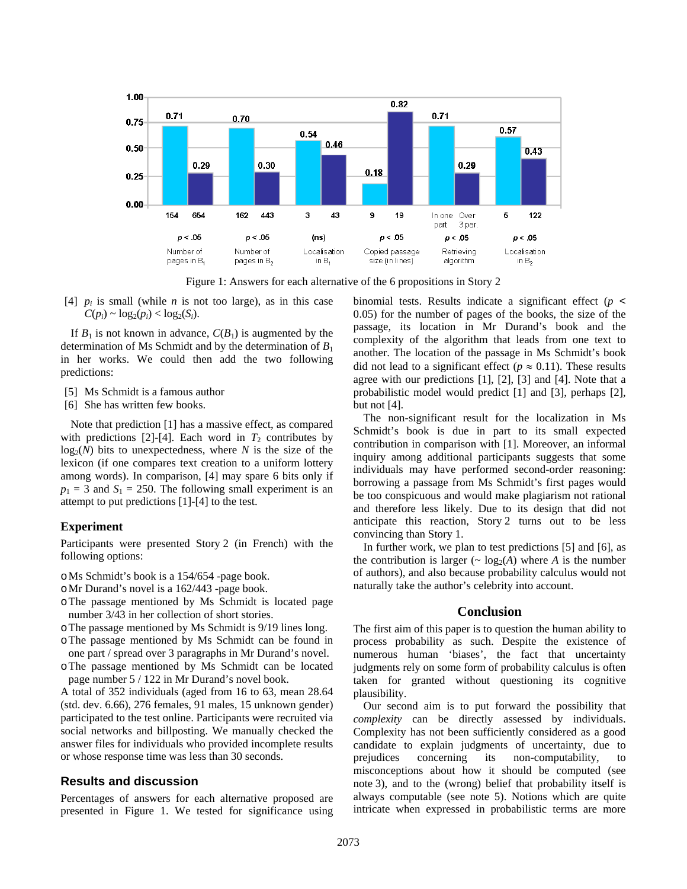

Figure 1: Answers for each alternative of the 6 propositions in Story 2

[4]  $p_i$  is small (while  $n$  is not too large), as in this case  $C(p_i) \sim \log_2(p_i) < \log_2(S_i)$ .

If  $B_1$  is not known in advance,  $C(B_1)$  is augmented by the determination of Ms Schmidt and by the determination of *B*<sup>1</sup> in her works. We could then add the two following predictions:

- [5] Ms Schmidt is a famous author
- [6] She has written few books.

Note that prediction [1] has a massive effect, as compared with predictions [2]-[4]. Each word in  $T_2$  contributes by  $log<sub>2</sub>(N)$  bits to unexpectedness, where *N* is the size of the lexicon (if one compares text creation to a uniform lottery among words). In comparison, [4] may spare 6 bits only if  $p_1 = 3$  and  $S_1 = 250$ . The following small experiment is an attempt to put predictions [1]-[4] to the test.

#### **Experiment**

Participants were presented Story 2 (in French) with the following options:

- oMs Schmidt's book is a 154/654 -page book.
- oMr Durand's novel is a 162/443 -page book.
- oThe passage mentioned by Ms Schmidt is located page number 3/43 in her collection of short stories.
- oThe passage mentioned by Ms Schmidt is 9/19 lines long.
- oThe passage mentioned by Ms Schmidt can be found in one part / spread over 3 paragraphs in Mr Durand's novel.
- oThe passage mentioned by Ms Schmidt can be located page number 5 / 122 in Mr Durand's novel book.

A total of 352 individuals (aged from 16 to 63, mean 28.64 (std. dev. 6.66), 276 females, 91 males, 15 unknown gender) participated to the test online. Participants were recruited via social networks and billposting. We manually checked the answer files for individuals who provided incomplete results or whose response time was less than 30 seconds.

#### **Results and discussion**

Percentages of answers for each alternative proposed are presented in Figure 1. We tested for significance using binomial tests. Results indicate a significant effect (*p* < 0.05) for the number of pages of the books, the size of the passage, its location in Mr Durand's book and the complexity of the algorithm that leads from one text to another. The location of the passage in Ms Schmidt's book did not lead to a significant effect ( $p \approx 0.11$ ). These results agree with our predictions [1], [2], [3] and [4]. Note that a probabilistic model would predict [1] and [3], perhaps [2], but not [4].

The non-significant result for the localization in Ms Schmidt's book is due in part to its small expected contribution in comparison with [1]. Moreover, an informal inquiry among additional participants suggests that some individuals may have performed second-order reasoning: borrowing a passage from Ms Schmidt's first pages would be too conspicuous and would make plagiarism not rational and therefore less likely. Due to its design that did not anticipate this reaction, Story 2 turns out to be less convincing than Story 1.

In further work, we plan to test predictions [5] and [6], as the contribution is larger ( $\sim \log_2(A)$  where *A* is the number of authors), and also because probability calculus would not naturally take the author's celebrity into account.

#### **Conclusion**

The first aim of this paper is to question the human ability to process probability as such. Despite the existence of numerous human 'biases', the fact that uncertainty judgments rely on some form of probability calculus is often taken for granted without questioning its cognitive plausibility.

Our second aim is to put forward the possibility that *complexity* can be directly assessed by individuals. Complexity has not been sufficiently considered as a good candidate to explain judgments of uncertainty, due to prejudices concerning its non-computability, to misconceptions about how it should be computed (see note 3), and to the (wrong) belief that probability itself is always computable (see note 5). Notions which are quite intricate when expressed in probabilistic terms are more